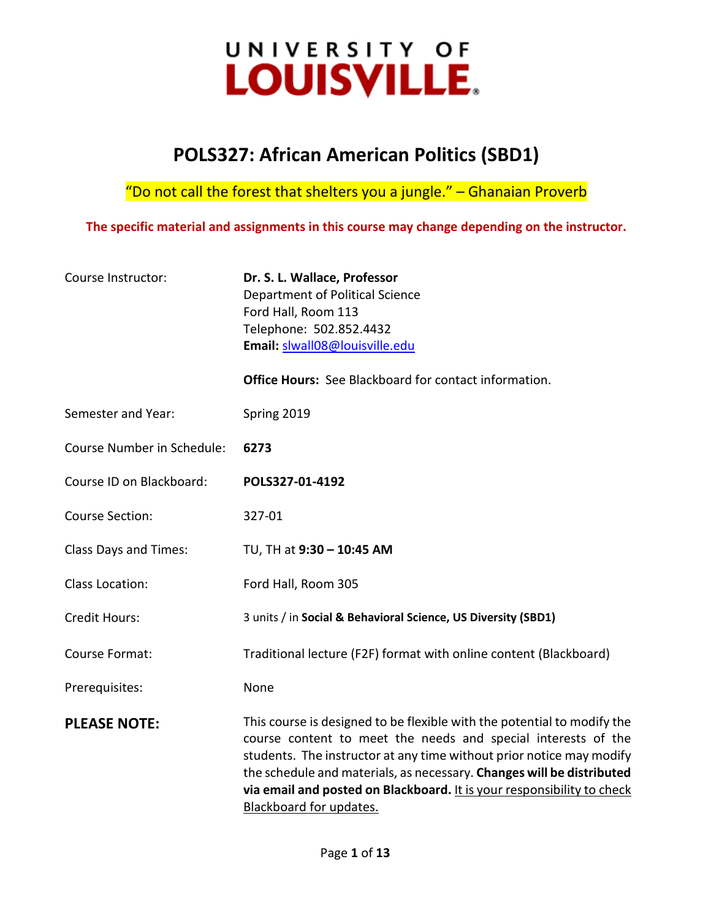# UNIVERSITY OF LOUISVILLE.

## **POLS327: African American Politics (SBD1)**

"Do not call the forest that shelters you a jungle."  $-$  Ghanaian Proverb

**The specific material and assignments in this course may change depending on the instructor.**

| Course Instructor:         | Dr. S. L. Wallace, Professor<br>Department of Political Science<br>Ford Hall, Room 113<br>Telephone: 502.852.4432<br>Email: slwall08@louisville.edu<br><b>Office Hours:</b> See Blackboard for contact information.                                                                                                                                                                            |
|----------------------------|------------------------------------------------------------------------------------------------------------------------------------------------------------------------------------------------------------------------------------------------------------------------------------------------------------------------------------------------------------------------------------------------|
| Semester and Year:         |                                                                                                                                                                                                                                                                                                                                                                                                |
|                            | Spring 2019                                                                                                                                                                                                                                                                                                                                                                                    |
| Course Number in Schedule: | 6273                                                                                                                                                                                                                                                                                                                                                                                           |
| Course ID on Blackboard:   | POLS327-01-4192                                                                                                                                                                                                                                                                                                                                                                                |
| <b>Course Section:</b>     | 327-01                                                                                                                                                                                                                                                                                                                                                                                         |
| Class Days and Times:      | TU, TH at 9:30 - 10:45 AM                                                                                                                                                                                                                                                                                                                                                                      |
| <b>Class Location:</b>     | Ford Hall, Room 305                                                                                                                                                                                                                                                                                                                                                                            |
| <b>Credit Hours:</b>       | 3 units / in Social & Behavioral Science, US Diversity (SBD1)                                                                                                                                                                                                                                                                                                                                  |
| Course Format:             | Traditional lecture (F2F) format with online content (Blackboard)                                                                                                                                                                                                                                                                                                                              |
| Prerequisites:             | None                                                                                                                                                                                                                                                                                                                                                                                           |
| <b>PLEASE NOTE:</b>        | This course is designed to be flexible with the potential to modify the<br>course content to meet the needs and special interests of the<br>students. The instructor at any time without prior notice may modify<br>the schedule and materials, as necessary. Changes will be distributed<br>via email and posted on Blackboard. It is your responsibility to check<br>Blackboard for updates. |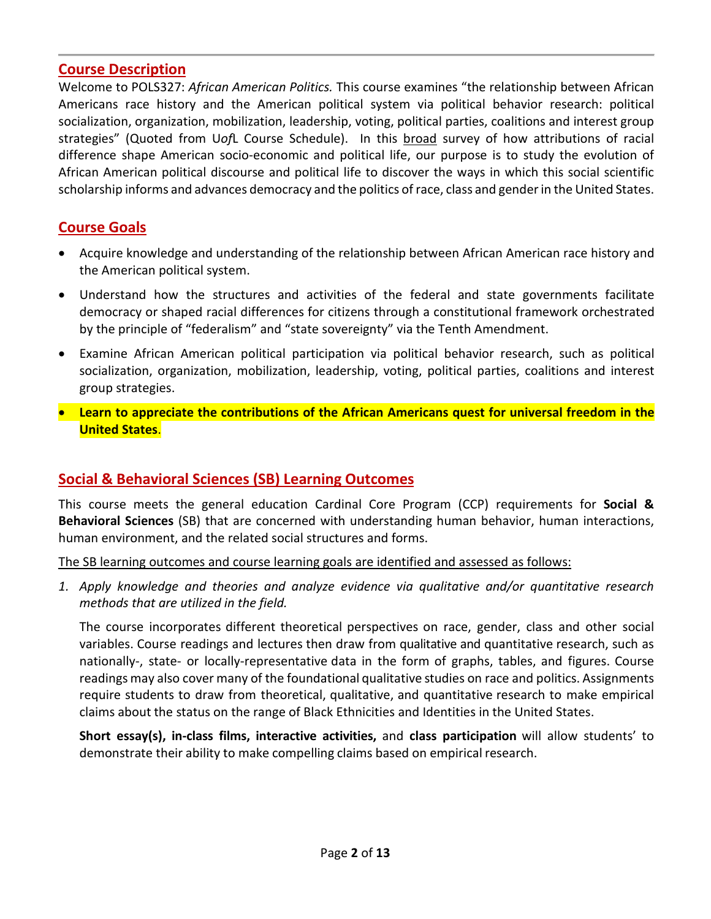## **Course Description**

Welcome to POLS327: *African American Politics.* This course examines "the relationship between African Americans race history and the American political system via political behavior research: political socialization, organization, mobilization, leadership, voting, political parties, coalitions and interest group strategies" (Quoted from U*of*L Course Schedule). In this broad survey of how attributions of racial difference shape American socio-economic and political life, our purpose is to study the evolution of African American political discourse and political life to discover the ways in which this social scientific scholarship informs and advances democracy and the politics of race, class and gender in the United States.

## **Course Goals**

- Acquire knowledge and understanding of the relationship between African American race history and the American political system.
- Understand how the structures and activities of the federal and state governments facilitate democracy or shaped racial differences for citizens through a constitutional framework orchestrated by the principle of "federalism" and "state sovereignty" via the Tenth Amendment.
- Examine African American political participation via political behavior research, such as political socialization, organization, mobilization, leadership, voting, political parties, coalitions and interest group strategies.
- **Learn to appreciate the contributions of the African Americans quest for universal freedom in the United States**.

## **Social & Behavioral Sciences (SB) Learning Outcomes**

This course meets the general education Cardinal Core Program (CCP) requirements for **Social & Behavioral Sciences** (SB) that are concerned with understanding human behavior, human interactions, human environment, and the related social structures and forms.

The SB learning outcomes and course learning goals are identified and assessed as follows:

*1. Apply knowledge and theories and analyze evidence via qualitative and/or quantitative research methods that are utilized in the field.*

The course incorporates different theoretical perspectives on race, gender, class and other social variables. Course readings and lectures then draw from qualitative and quantitative research, such as nationally-, state- or locally-representative data in the form of graphs, tables, and figures. Course readings may also cover many of the foundational qualitative studies on race and politics. Assignments require students to draw from theoretical, qualitative, and quantitative research to make empirical claims about the status on the range of Black Ethnicities and Identities in the United States.

**Short essay(s), in-class films, interactive activities,** and **class participation** will allow students' to demonstrate their ability to make compelling claims based on empirical research.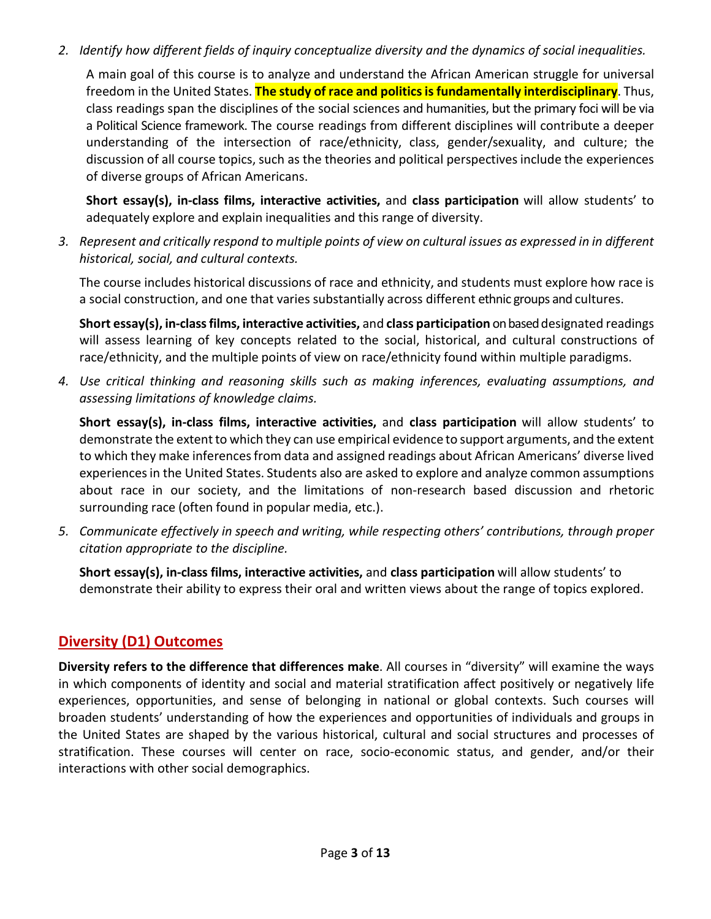*2. Identify how different fields of inquiry conceptualize diversity and the dynamics of social inequalities.*

A main goal of this course is to analyze and understand the African American struggle for universal freedom in the United States. **The study of race and politics is fundamentally interdisciplinary**. Thus, class readings span the disciplines of the social sciences and humanities, but the primary foci will be via a Political Science framework. The course readings from different disciplines will contribute a deeper understanding of the intersection of race/ethnicity, class, gender/sexuality, and culture; the discussion of all course topics, such as the theories and political perspectives include the experiences of diverse groups of African Americans.

**Short essay(s), in-class films, interactive activities,** and **class participation** will allow students' to adequately explore and explain inequalities and this range of diversity.

*3. Represent and critically respond to multiple points of view on cultural issues as expressed in in different historical, social, and cultural contexts.*

The course includes historical discussions of race and ethnicity, and students must explore how race is a social construction, and one that varies substantially across different ethnic groups and cultures.

**Short essay(s), in-class films, interactive activities,** and **class participation** on based designated readings will assess learning of key concepts related to the social, historical, and cultural constructions of race/ethnicity, and the multiple points of view on race/ethnicity found within multiple paradigms.

*4. Use critical thinking and reasoning skills such as making inferences, evaluating assumptions, and assessing limitations of knowledge claims.*

**Short essay(s), in-class films, interactive activities,** and **class participation** will allow students' to demonstrate the extent to which they can use empirical evidence to support arguments, and the extent to which they make inferencesfrom data and assigned readings about African Americans' diverse lived experiencesin the United States. Students also are asked to explore and analyze common assumptions about race in our society, and the limitations of non-research based discussion and rhetoric surrounding race (often found in popular media, etc.).

*5. Communicate effectively in speech and writing, while respecting others' contributions, through proper citation appropriate to the discipline.*

**Short essay(s), in-class films, interactive activities,** and **class participation** will allow students' to demonstrate their ability to express their oral and written views about the range of topics explored.

## **Diversity (D1) Outcomes**

**Diversity refers to the difference that differences make**. All courses in "diversity" will examine the ways in which components of identity and social and material stratification affect positively or negatively life experiences, opportunities, and sense of belonging in national or global contexts. Such courses will broaden students' understanding of how the experiences and opportunities of individuals and groups in the United States are shaped by the various historical, cultural and social structures and processes of stratification. These courses will center on race, socio-economic status, and gender, and/or their interactions with other social demographics.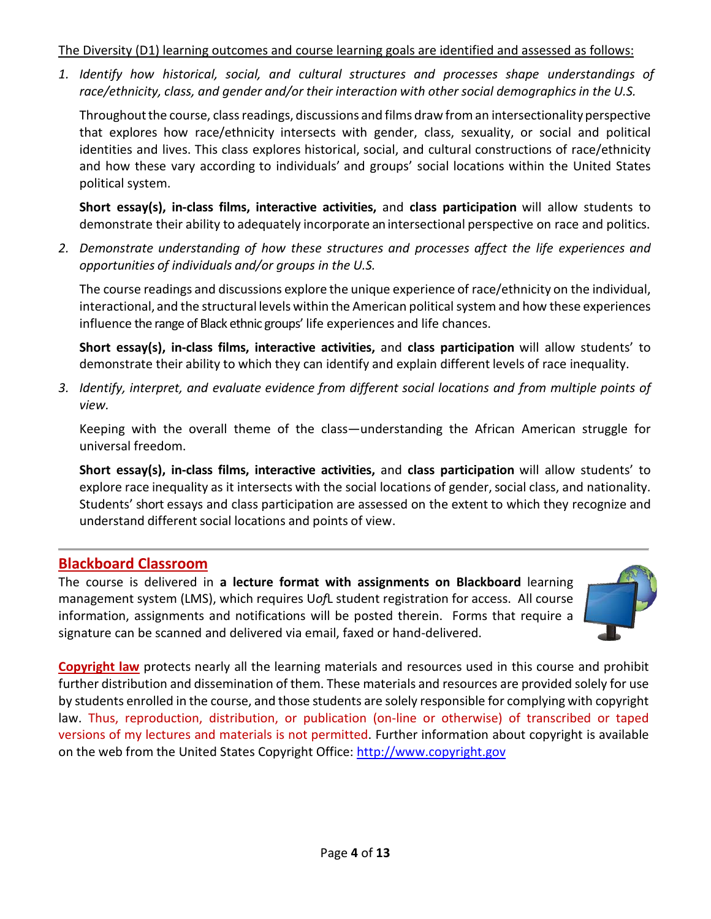#### The Diversity (D1) learning outcomes and course learning goals are identified and assessed as follows:

*1. Identify how historical, social, and cultural structures and processes shape understandings of race/ethnicity, class, and gender and/or their interaction with other social demographicsin the U.S.*

Throughout the course, class readings, discussions and films draw from an intersectionality perspective that explores how race/ethnicity intersects with gender, class, sexuality, or social and political identities and lives. This class explores historical, social, and cultural constructions of race/ethnicity and how these vary according to individuals' and groups' social locations within the United States political system.

**Short essay(s), in-class films, interactive activities,** and **class participation** will allow students to demonstrate their ability to adequately incorporate an intersectional perspective on race and politics.

*2. Demonstrate understanding of how these structures and processes affect the life experiences and opportunities of individuals and/or groups in the U.S.* 

The course readings and discussions explore the unique experience of race/ethnicity on the individual, interactional, and the structural levels within the American political system and how these experiences influence the range of Black ethnic groups' life experiences and life chances.

**Short essay(s), in-class films, interactive activities,** and **class participation** will allow students' to demonstrate their ability to which they can identify and explain different levels of race inequality.

*3. Identify, interpret, and evaluate evidence from different social locations and from multiple points of view.*

Keeping with the overall theme of the class—understanding the African American struggle for universal freedom.

**Short essay(s), in-class films, interactive activities,** and **class participation** will allow students' to explore race inequality as it intersects with the social locations of gender, social class, and nationality. Students' short essays and class participation are assessed on the extent to which they recognize and understand different social locations and points of view.

## **Blackboard Classroom**

The course is delivered in **a lecture format with assignments on Blackboard** learning management system (LMS), which requires U*of*L student registration for access. All course information, assignments and notifications will be posted therein. Forms that require a signature can be scanned and delivered via email, faxed or hand-delivered.



**Copyright law** protects nearly all the learning materials and resources used in this course and prohibit further distribution and dissemination of them. These materials and resources are provided solely for use by students enrolled in the course, and those students are solely responsible for complying with copyright law. Thus, reproduction, distribution, or publication (on-line or otherwise) of transcribed or taped versions of my lectures and materials is not permitted. Further information about copyright is available on the web from the United States Copyright Office: [http://www.copyright.gov](http://www.copyright.gov/)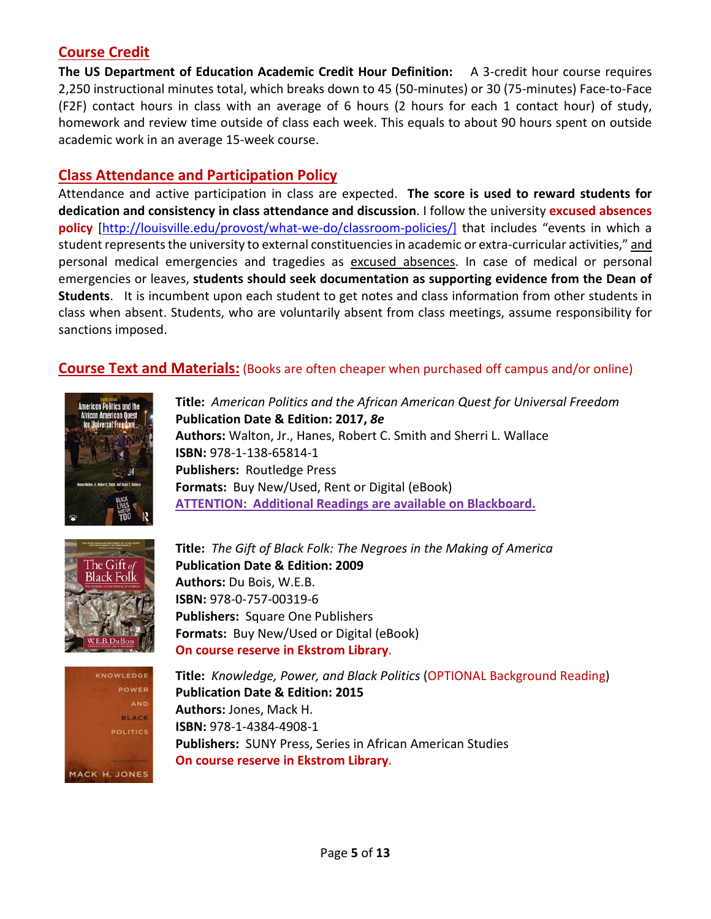## **Course Credit**

**The US Department of Education Academic Credit Hour Definition:** A 3-credit hour course requires 2,250 instructional minutes total, which breaks down to 45 (50-minutes) or 30 (75-minutes) Face-to-Face (F2F) contact hours in class with an average of 6 hours (2 hours for each 1 contact hour) of study, homework and review time outside of class each week. This equals to about 90 hours spent on outside academic work in an average 15-week course.

## **Class Attendance and Participation Policy**

Attendance and active participation in class are expected. **The score is used to reward students for dedication and consistency in class attendance and discussion**. I follow the university **excused absences policy** [\[http://louisville.edu/provost/what-we-do/classroom-policies/\]](http://louisville.edu/provost/what-we-do/classroom-policies/) that includes "events in which a student represents the university to external constituenciesin academic or extra-curricular activities," and personal medical emergencies and tragedies as excused absences. In case of medical or personal emergencies or leaves, **students should seek documentation as supporting evidence from the Dean of Students**. It is incumbent upon each student to get notes and class information from other students in class when absent. Students, who are voluntarily absent from class meetings, assume responsibility for sanctions imposed.

## **Course Text and Materials:** (Books are often cheaper when purchased off campus and/or online)



**Title:** *American Politics and the African American Quest for Universal Freedom* **Publication Date & Edition: 2017,** *8e* **Authors:** Walton, Jr., Hanes, Robert C. Smith and Sherri L. Wallace **ISBN:** 978-1-138-65814-1 **Publishers:** Routledge Press **Formats:** Buy New/Used, Rent or Digital (eBook) **ATTENTION: Additional Readings are available on Blackboard.** 



**Title:** *The Gift of Black Folk: The Negroes in the Making of America* **Publication Date & Edition: 2009 Authors:** Du Bois, W.E.B. **ISBN:** 978-0-757-00319-6 **Publishers:** Square One Publishers **Formats:** Buy New/Used or Digital (eBook) **On course reserve in Ekstrom Library**.



**Title:** *Knowledge, Power, and Black Politics* (OPTIONAL Background Reading) **Publication Date & Edition: 2015 Authors:** Jones, Mack H. **ISBN:** 978-1-4384-4908-1 **Publishers:** SUNY Press, Series in African American Studies **On course reserve in Ekstrom Library**.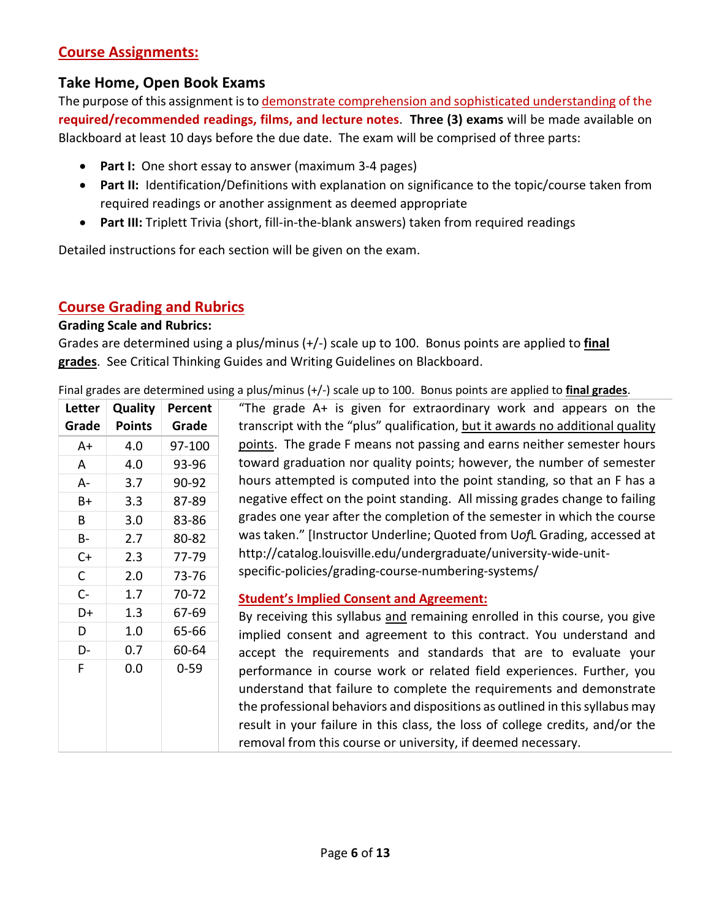## **Course Assignments:**

## **Take Home, Open Book Exams**

The purpose of this assignment is to demonstrate comprehension and sophisticated understanding of the **required/recommended readings, films, and lecture notes**. **Three (3) exams** will be made available on Blackboard at least 10 days before the due date. The exam will be comprised of three parts:

- **Part I:** One short essay to answer (maximum 3-4 pages)
- **Part II:** Identification/Definitions with explanation on significance to the topic/course taken from required readings or another assignment as deemed appropriate
- **Part III:** Triplett Trivia (short, fill-in-the-blank answers) taken from required readings

Detailed instructions for each section will be given on the exam.

## **Course Grading and Rubrics**

#### **Grading Scale and Rubrics:**

Grades are determined using a plus/minus (+/-) scale up to 100. Bonus points are applied to **final grades**. See Critical Thinking Guides and Writing Guidelines on Blackboard.

Final grades are determined using a plus/minus (+/-) scale up to 100. Bonus points are applied to **final grades**.

| Letter    | <b>Quality</b> | Percent   | "The grade A+ is given for extraordinary work and appears on the                                                                                                                                                                                                                                                                                                               |
|-----------|----------------|-----------|--------------------------------------------------------------------------------------------------------------------------------------------------------------------------------------------------------------------------------------------------------------------------------------------------------------------------------------------------------------------------------|
| Grade     | <b>Points</b>  | Grade     | transcript with the "plus" qualification, but it awards no additional quality                                                                                                                                                                                                                                                                                                  |
| A+        | 4.0            | 97-100    | points. The grade F means not passing and earns neither semester hours                                                                                                                                                                                                                                                                                                         |
| A         | 4.0            | 93-96     | toward graduation nor quality points; however, the number of semester                                                                                                                                                                                                                                                                                                          |
| A-        | 3.7            | 90-92     | hours attempted is computed into the point standing, so that an F has a                                                                                                                                                                                                                                                                                                        |
| B+        | 3.3            | 87-89     | negative effect on the point standing. All missing grades change to failing                                                                                                                                                                                                                                                                                                    |
| B         | 3.0            | 83-86     | grades one year after the completion of the semester in which the course                                                                                                                                                                                                                                                                                                       |
| <b>B-</b> | 2.7            | 80-82     | was taken." [Instructor Underline; Quoted from UofL Grading, accessed at                                                                                                                                                                                                                                                                                                       |
| $C+$      | 2.3            | 77-79     | http://catalog.louisville.edu/undergraduate/university-wide-unit-                                                                                                                                                                                                                                                                                                              |
| C         | 2.0            | 73-76     | specific-policies/grading-course-numbering-systems/                                                                                                                                                                                                                                                                                                                            |
| $C -$     | 1.7            | $70 - 72$ | <b>Student's Implied Consent and Agreement:</b>                                                                                                                                                                                                                                                                                                                                |
| D+        | 1.3            | 67-69     | By receiving this syllabus and remaining enrolled in this course, you give                                                                                                                                                                                                                                                                                                     |
| D         | 1.0            | 65-66     | implied consent and agreement to this contract. You understand and                                                                                                                                                                                                                                                                                                             |
| D-        | 0.7            | 60-64     | accept the requirements and standards that are to evaluate your                                                                                                                                                                                                                                                                                                                |
| F         | 0.0            | $0 - 59$  | performance in course work or related field experiences. Further, you<br>understand that failure to complete the requirements and demonstrate<br>the professional behaviors and dispositions as outlined in this syllabus may<br>result in your failure in this class, the loss of college credits, and/or the<br>removal from this course or university, if deemed necessary. |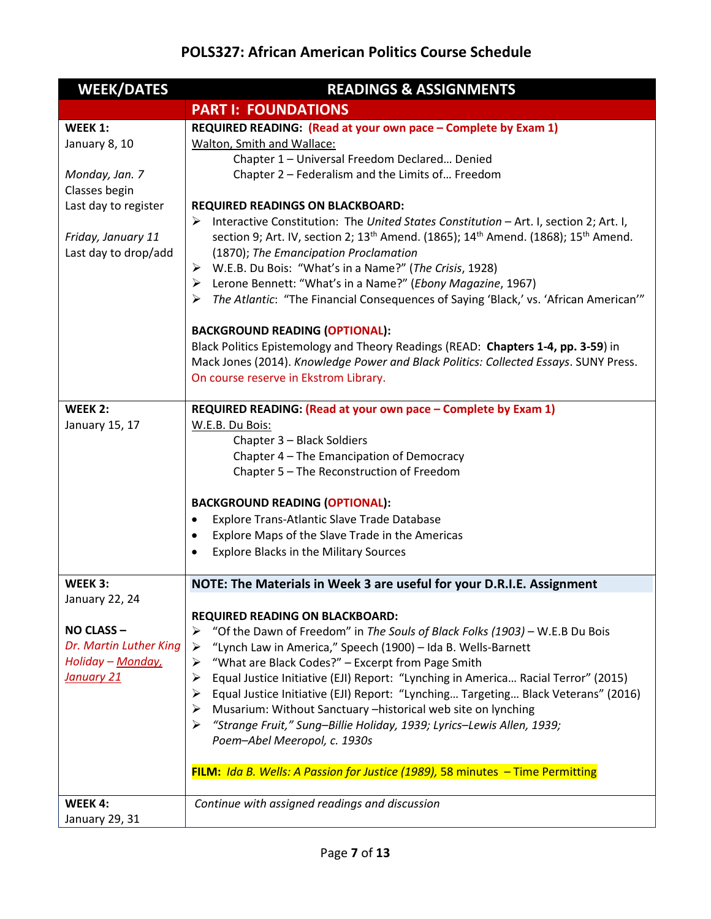## **POLS327: African American Politics Course Schedule**

| <b>WEEK/DATES</b>      | <b>READINGS &amp; ASSIGNMENTS</b>                                                                                      |  |
|------------------------|------------------------------------------------------------------------------------------------------------------------|--|
|                        | <b>PART I: FOUNDATIONS</b>                                                                                             |  |
| WEEK 1:                | REQUIRED READING: (Read at your own pace - Complete by Exam 1)                                                         |  |
| January 8, 10          | Walton, Smith and Wallace:                                                                                             |  |
|                        | Chapter 1 - Universal Freedom Declared Denied                                                                          |  |
| Monday, Jan. 7         | Chapter 2 - Federalism and the Limits of Freedom                                                                       |  |
| Classes begin          |                                                                                                                        |  |
| Last day to register   | <b>REQUIRED READINGS ON BLACKBOARD:</b>                                                                                |  |
|                        | > Interactive Constitution: The United States Constitution - Art. I, section 2; Art. I,                                |  |
| Friday, January 11     | section 9; Art. IV, section 2; 13 <sup>th</sup> Amend. (1865); 14 <sup>th</sup> Amend. (1868); 15 <sup>th</sup> Amend. |  |
| Last day to drop/add   | (1870); The Emancipation Proclamation                                                                                  |  |
|                        | > W.E.B. Du Bois: "What's in a Name?" (The Crisis, 1928)                                                               |  |
|                        | > Lerone Bennett: "What's in a Name?" (Ebony Magazine, 1967)                                                           |  |
|                        | > The Atlantic: "The Financial Consequences of Saying 'Black,' vs. 'African American'"                                 |  |
|                        | <b>BACKGROUND READING (OPTIONAL):</b>                                                                                  |  |
|                        | Black Politics Epistemology and Theory Readings (READ: Chapters 1-4, pp. 3-59) in                                      |  |
|                        | Mack Jones (2014). Knowledge Power and Black Politics: Collected Essays. SUNY Press.                                   |  |
|                        | On course reserve in Ekstrom Library.                                                                                  |  |
| WEEK 2:                | REQUIRED READING: (Read at your own pace - Complete by Exam 1)                                                         |  |
| January 15, 17         | W.E.B. Du Bois:                                                                                                        |  |
|                        | Chapter 3 - Black Soldiers                                                                                             |  |
|                        | Chapter 4 - The Emancipation of Democracy                                                                              |  |
|                        | Chapter 5 - The Reconstruction of Freedom                                                                              |  |
|                        |                                                                                                                        |  |
|                        | <b>BACKGROUND READING (OPTIONAL):</b>                                                                                  |  |
|                        | Explore Trans-Atlantic Slave Trade Database<br>$\bullet$                                                               |  |
|                        | Explore Maps of the Slave Trade in the Americas<br>$\bullet$                                                           |  |
|                        | <b>Explore Blacks in the Military Sources</b>                                                                          |  |
| WEEK 3:                | NOTE: The Materials in Week 3 are useful for your D.R.I.E. Assignment                                                  |  |
| January 22, 24         |                                                                                                                        |  |
|                        | <b>REQUIRED READING ON BLACKBOARD:</b>                                                                                 |  |
| NO CLASS-              | "Of the Dawn of Freedom" in The Souls of Black Folks (1903) - W.E.B Du Bois<br>➤                                       |  |
| Dr. Martin Luther King | "Lynch Law in America," Speech (1900) - Ida B. Wells-Barnett<br>➤                                                      |  |
| Holiday - Monday,      | "What are Black Codes?" - Excerpt from Page Smith<br>➤                                                                 |  |
| January 21             | Equal Justice Initiative (EJI) Report: "Lynching in America Racial Terror" (2015)<br>➤                                 |  |
|                        | Equal Justice Initiative (EJI) Report: "Lynching Targeting Black Veterans" (2016)<br>➤                                 |  |
|                        | Musarium: Without Sanctuary - historical web site on lynching<br>➤                                                     |  |
|                        | "Strange Fruit," Sung-Billie Holiday, 1939; Lyrics-Lewis Allen, 1939;<br>➤                                             |  |
|                        | Poem-Abel Meeropol, c. 1930s                                                                                           |  |
|                        | FILM: Ida B. Wells: A Passion for Justice (1989), 58 minutes - Time Permitting                                         |  |
|                        |                                                                                                                        |  |
| <b>WEEK 4:</b>         | Continue with assigned readings and discussion                                                                         |  |
| January 29, 31         |                                                                                                                        |  |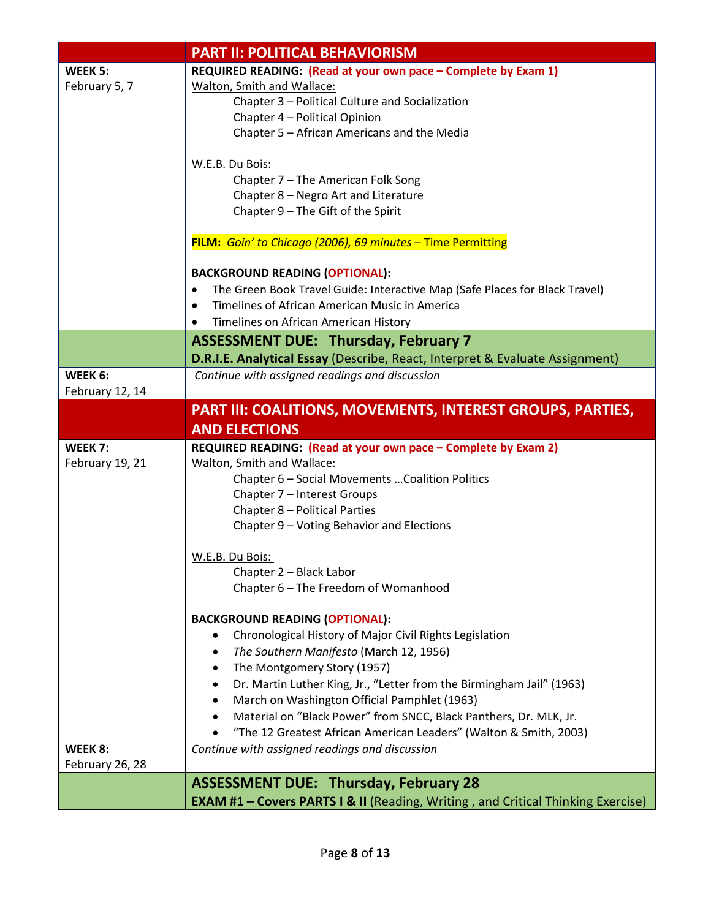| <b>PART II: POLITICAL BEHAVIORISM</b> |                                                                                          |  |
|---------------------------------------|------------------------------------------------------------------------------------------|--|
| WEEK 5:                               | REQUIRED READING: (Read at your own pace - Complete by Exam 1)                           |  |
| February 5, 7                         | Walton, Smith and Wallace:                                                               |  |
|                                       | Chapter 3 - Political Culture and Socialization                                          |  |
|                                       | Chapter 4 - Political Opinion                                                            |  |
|                                       | Chapter 5 - African Americans and the Media                                              |  |
|                                       |                                                                                          |  |
|                                       | W.E.B. Du Bois:                                                                          |  |
|                                       | Chapter 7 - The American Folk Song                                                       |  |
|                                       | Chapter 8 - Negro Art and Literature                                                     |  |
|                                       | Chapter 9 - The Gift of the Spirit                                                       |  |
|                                       |                                                                                          |  |
|                                       | FILM: Goin' to Chicago (2006), 69 minutes - Time Permitting                              |  |
|                                       | <b>BACKGROUND READING (OPTIONAL):</b>                                                    |  |
|                                       | The Green Book Travel Guide: Interactive Map (Safe Places for Black Travel)<br>$\bullet$ |  |
|                                       | Timelines of African American Music in America                                           |  |
|                                       | Timelines on African American History<br>$\bullet$                                       |  |
|                                       | <b>ASSESSMENT DUE: Thursday, February 7</b>                                              |  |
|                                       | D.R.I.E. Analytical Essay (Describe, React, Interpret & Evaluate Assignment)             |  |
| WEEK 6:                               | Continue with assigned readings and discussion                                           |  |
| February 12, 14                       |                                                                                          |  |
|                                       | PART III: COALITIONS, MOVEMENTS, INTEREST GROUPS, PARTIES,                               |  |
|                                       | <b>AND ELECTIONS</b>                                                                     |  |
| WEEK 7:                               |                                                                                          |  |
|                                       | REQUIRED READING: (Read at your own pace - Complete by Exam 2)                           |  |
| February 19, 21                       | Walton, Smith and Wallace:                                                               |  |
|                                       | Chapter 6 - Social Movements  Coalition Politics                                         |  |
|                                       | Chapter 7 - Interest Groups                                                              |  |
|                                       | Chapter 8 - Political Parties                                                            |  |
|                                       | Chapter 9 - Voting Behavior and Elections                                                |  |
|                                       |                                                                                          |  |
|                                       | W.E.B. Du Bois:                                                                          |  |
|                                       | Chapter 2 - Black Labor                                                                  |  |
|                                       | Chapter 6 - The Freedom of Womanhood                                                     |  |
|                                       | <b>BACKGROUND READING (OPTIONAL):</b>                                                    |  |
|                                       | Chronological History of Major Civil Rights Legislation                                  |  |
|                                       | The Southern Manifesto (March 12, 1956)                                                  |  |
|                                       |                                                                                          |  |
|                                       | The Montgomery Story (1957)                                                              |  |
|                                       | Dr. Martin Luther King, Jr., "Letter from the Birmingham Jail" (1963)                    |  |
|                                       | March on Washington Official Pamphlet (1963)                                             |  |
|                                       | Material on "Black Power" from SNCC, Black Panthers, Dr. MLK, Jr.                        |  |
|                                       | "The 12 Greatest African American Leaders" (Walton & Smith, 2003)                        |  |
|                                       |                                                                                          |  |
| <b>WEEK 8:</b>                        | Continue with assigned readings and discussion                                           |  |
| February 26, 28                       |                                                                                          |  |
|                                       | <b>ASSESSMENT DUE: Thursday, February 28</b>                                             |  |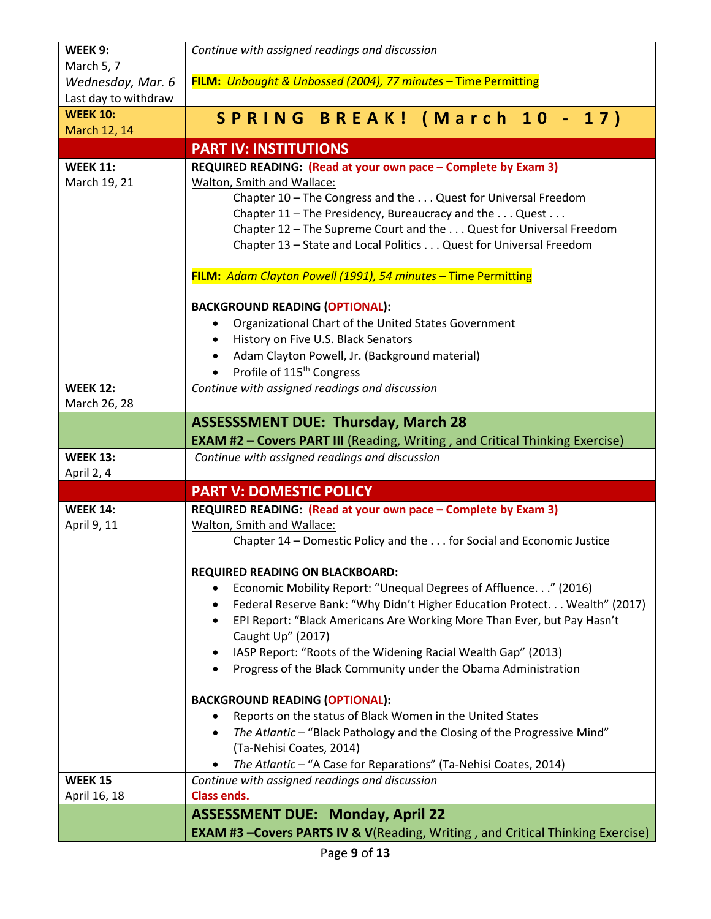| WEEK 9:                         | Continue with assigned readings and discussion                                                                                        |
|---------------------------------|---------------------------------------------------------------------------------------------------------------------------------------|
| March 5, 7                      |                                                                                                                                       |
| Wednesday, Mar. 6               | FILM: Unbought & Unbossed (2004), 77 minutes - Time Permitting                                                                        |
| Last day to withdraw            |                                                                                                                                       |
| <b>WEEK 10:</b>                 | SPRING BREAK! (March 10 - 17)                                                                                                         |
| March 12, 14                    |                                                                                                                                       |
|                                 | <b>PART IV: INSTITUTIONS</b>                                                                                                          |
| <b>WEEK 11:</b>                 | REQUIRED READING: (Read at your own pace - Complete by Exam 3)                                                                        |
| March 19, 21                    | Walton, Smith and Wallace:                                                                                                            |
|                                 | Chapter 10 - The Congress and the Quest for Universal Freedom                                                                         |
|                                 | Chapter 11 - The Presidency, Bureaucracy and the Quest                                                                                |
|                                 | Chapter 12 - The Supreme Court and the Quest for Universal Freedom                                                                    |
|                                 | Chapter 13 - State and Local Politics Quest for Universal Freedom                                                                     |
|                                 | FILM: Adam Clayton Powell (1991), 54 minutes - Time Permitting                                                                        |
|                                 |                                                                                                                                       |
|                                 | <b>BACKGROUND READING (OPTIONAL):</b>                                                                                                 |
|                                 | Organizational Chart of the United States Government                                                                                  |
|                                 | History on Five U.S. Black Senators<br>$\bullet$                                                                                      |
|                                 | Adam Clayton Powell, Jr. (Background material)<br>$\bullet$                                                                           |
|                                 | Profile of 115 <sup>th</sup> Congress                                                                                                 |
| <b>WEEK 12:</b><br>March 26, 28 | Continue with assigned readings and discussion                                                                                        |
|                                 | <b>ASSESSSMENT DUE: Thursday, March 28</b>                                                                                            |
|                                 | <b>EXAM #2 - Covers PART III</b> (Reading, Writing, and Critical Thinking Exercise)                                                   |
| <b>WEEK 13:</b>                 | Continue with assigned readings and discussion                                                                                        |
| April 2, 4                      |                                                                                                                                       |
|                                 | <b>PART V: DOMESTIC POLICY</b>                                                                                                        |
| <b>WEEK 14:</b>                 | REQUIRED READING: (Read at your own pace - Complete by Exam 3)                                                                        |
| April 9, 11                     | Walton, Smith and Wallace:                                                                                                            |
|                                 | Chapter 14 – Domestic Policy and the for Social and Economic Justice                                                                  |
|                                 | <b>REQUIRED READING ON BLACKBOARD:</b>                                                                                                |
|                                 | Economic Mobility Report: "Unequal Degrees of Affluence" (2016)                                                                       |
|                                 | Federal Reserve Bank: "Why Didn't Higher Education Protect Wealth" (2017)<br>$\bullet$                                                |
|                                 | EPI Report: "Black Americans Are Working More Than Ever, but Pay Hasn't<br>$\bullet$                                                  |
|                                 | Caught Up" (2017)                                                                                                                     |
|                                 | IASP Report: "Roots of the Widening Racial Wealth Gap" (2013)<br>٠                                                                    |
|                                 | Progress of the Black Community under the Obama Administration                                                                        |
|                                 | <b>BACKGROUND READING (OPTIONAL):</b>                                                                                                 |
|                                 | Reports on the status of Black Women in the United States                                                                             |
|                                 | The Atlantic - "Black Pathology and the Closing of the Progressive Mind"<br>$\bullet$                                                 |
|                                 | (Ta-Nehisi Coates, 2014)                                                                                                              |
|                                 | The Atlantic - "A Case for Reparations" (Ta-Nehisi Coates, 2014)                                                                      |
| <b>WEEK 15</b>                  | Continue with assigned readings and discussion                                                                                        |
| April 16, 18                    |                                                                                                                                       |
|                                 | <b>Class ends.</b>                                                                                                                    |
|                                 | <b>ASSESSMENT DUE: Monday, April 22</b><br><b>EXAM #3 -Covers PARTS IV &amp; V</b> (Reading, Writing, and Critical Thinking Exercise) |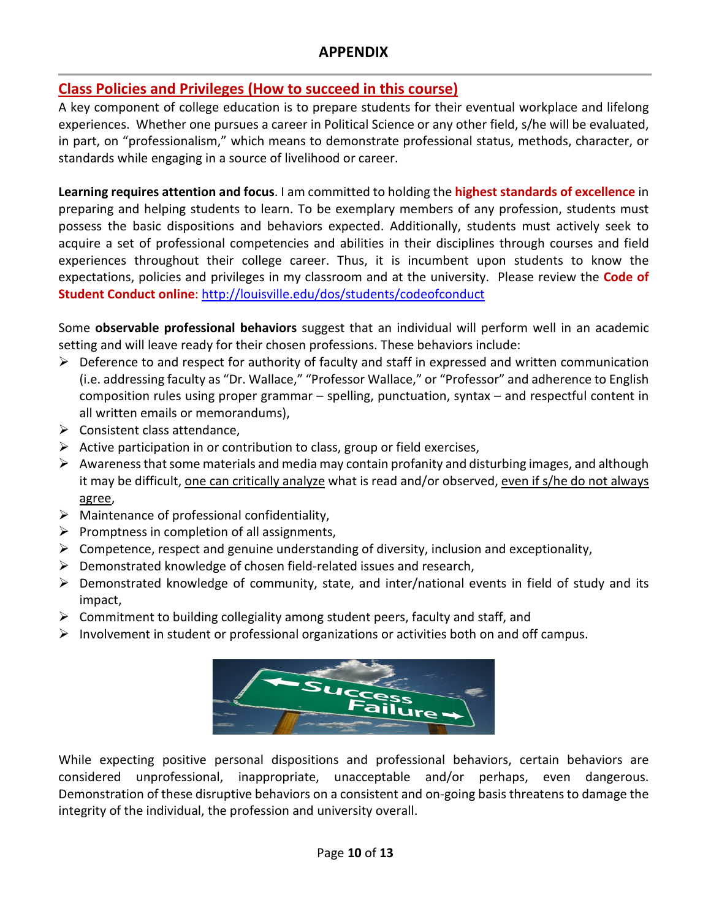## **APPENDIX**

## **Class Policies and Privileges (How to succeed in this course)**

A key component of college education is to prepare students for their eventual workplace and lifelong experiences. Whether one pursues a career in Political Science or any other field, s/he will be evaluated, in part, on "professionalism," which means to demonstrate professional status, methods, character, or standards while engaging in a source of livelihood or career.

**Learning requires attention and focus**. I am committed to holding the **highest standards of excellence** in preparing and helping students to learn. To be exemplary members of any profession, students must possess the basic dispositions and behaviors expected. Additionally, students must actively seek to acquire a set of professional competencies and abilities in their disciplines through courses and field experiences throughout their college career. Thus, it is incumbent upon students to know the expectations, policies and privileges in my classroom and at the university. Please review the **Code of Student Conduct online**[: http://louisville.edu/dos/students/codeofconduct](http://louisville.edu/dos/students/codeofconduct)

Some **observable professional behaviors** suggest that an individual will perform well in an academic setting and will leave ready for their chosen professions. These behaviors include:

- $\triangleright$  Deference to and respect for authority of faculty and staff in expressed and written communication (i.e. addressing faculty as "Dr. Wallace," "Professor Wallace," or "Professor" and adherence to English composition rules using proper grammar – spelling, punctuation, syntax – and respectful content in all written emails or memorandums),
- $\triangleright$  Consistent class attendance,
- $\triangleright$  Active participation in or contribution to class, group or field exercises,
- $\triangleright$  Awareness that some materials and media may contain profanity and disturbing images, and although it may be difficult, one can critically analyze what is read and/or observed, even if s/he do not always agree,
- $\triangleright$  Maintenance of professional confidentiality,
- $\triangleright$  Promptness in completion of all assignments,
- $\triangleright$  Competence, respect and genuine understanding of diversity, inclusion and exceptionality,
- $\triangleright$  Demonstrated knowledge of chosen field-related issues and research,
- $\triangleright$  Demonstrated knowledge of community, state, and inter/national events in field of study and its impact,
- $\triangleright$  Commitment to building collegiality among student peers, faculty and staff, and
- $\triangleright$  Involvement in student or professional organizations or activities both on and off campus.



While expecting positive personal dispositions and professional behaviors, certain behaviors are considered unprofessional, inappropriate, unacceptable and/or perhaps, even dangerous. Demonstration of these disruptive behaviors on a consistent and on-going basis threatens to damage the integrity of the individual, the profession and university overall.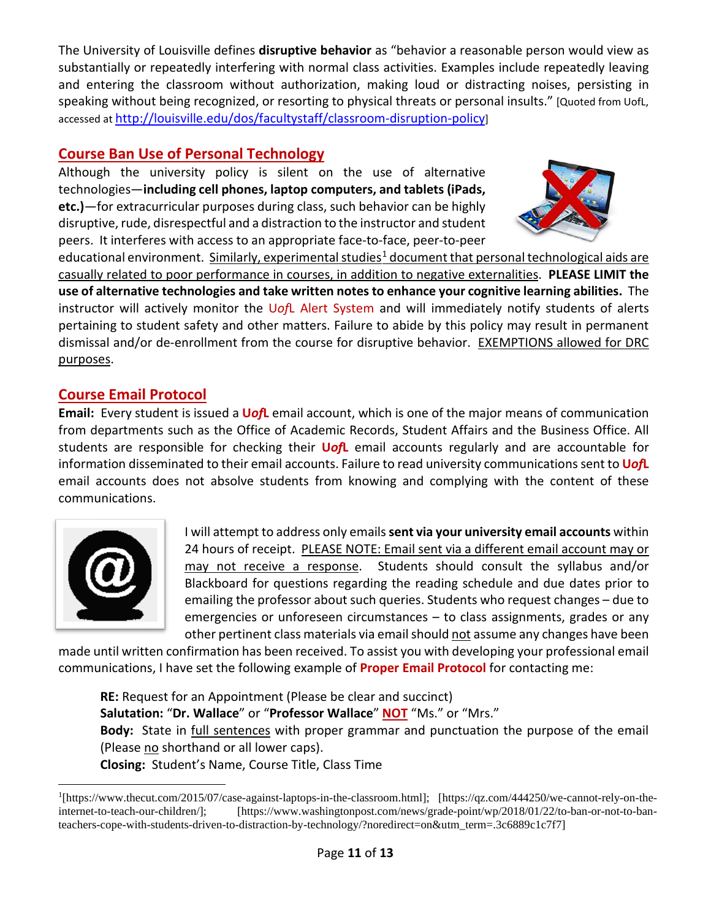The University of Louisville defines **disruptive behavior** as "behavior a reasonable person would view as substantially or repeatedly interfering with normal class activities. Examples include repeatedly leaving and entering the classroom without authorization, making loud or distracting noises, persisting in speaking without being recognized, or resorting to physical threats or personal insults." [Quoted from UofL, accessed a[t http://louisville.edu/dos/facultystaff/classroom-disruption-policy\]](http://louisville.edu/dos/facultystaff/classroom-disruption-policy)

## **Course Ban Use of Personal Technology**

Although the university policy is silent on the use of alternative technologies—**including cell phones, laptop computers, and tablets (iPads, etc.)**—for extracurricular purposes during class, such behavior can be highly disruptive, rude, disrespectful and a distraction to the instructor and student peers. It interferes with access to an appropriate face-to-face, peer-to-peer



educational environment. Similarly, experimental studies<sup>[1](#page-10-0)</sup> document that personal technological aids are casually related to poor performance in courses, in addition to negative externalities. **PLEASE LIMIT the use of alternative technologies and take written notes to enhance your cognitive learning abilities.** The instructor will actively monitor the U*of*L Alert System and will immediately notify students of alerts pertaining to student safety and other matters. Failure to abide by this policy may result in permanent dismissal and/or de-enrollment from the course for disruptive behavior. EXEMPTIONS allowed for DRC purposes.

## **Course Email Protocol**

**Email:** Every student is issued a **U***of***L** email account, which is one of the major means of communication from departments such as the Office of Academic Records, Student Affairs and the Business Office. All students are responsible for checking their **U***of***L** email accounts regularly and are accountable for information disseminated to their email accounts. Failure to read university communications sent to **U***of***L** email accounts does not absolve students from knowing and complying with the content of these communications.



I will attempt to address only emails **sent via your university email accounts** within 24 hours of receipt. PLEASE NOTE: Email sent via a different email account may or may not receive a response. Students should consult the syllabus and/or Blackboard for questions regarding the reading schedule and due dates prior to emailing the professor about such queries. Students who request changes – due to emergencies or unforeseen circumstances – to class assignments, grades or any other pertinent class materials via email should not assume any changes have been

made until written confirmation has been received. To assist you with developing your professional email communications, I have set the following example of **Proper Email Protocol** for contacting me:

**RE:** Request for an Appointment (Please be clear and succinct) **Salutation:** "**Dr. Wallace**" or "**Professor Wallace**" **NOT** "Ms." or "Mrs." **Body:** State in full sentences with proper grammar and punctuation the purpose of the email (Please no shorthand or all lower caps). **Closing:** Student's Name, Course Title, Class Time

<span id="page-10-0"></span><sup>&</sup>lt;sup>1</sup>[https://www.thecut.com/2015/07/case-against-laptops-in-the-classroom.html]; [https://qz.com/444250/we-cannot-rely-on-theinternet-to-teach-our-children/]; [https://www.washingtonpost.com/news/grade-point/wp/2018/01/22/to-ban-or-not-to-banteachers-cope-with-students-driven-to-distraction-by-technology/?noredirect=on&utm\_term=.3c6889c1c7f7]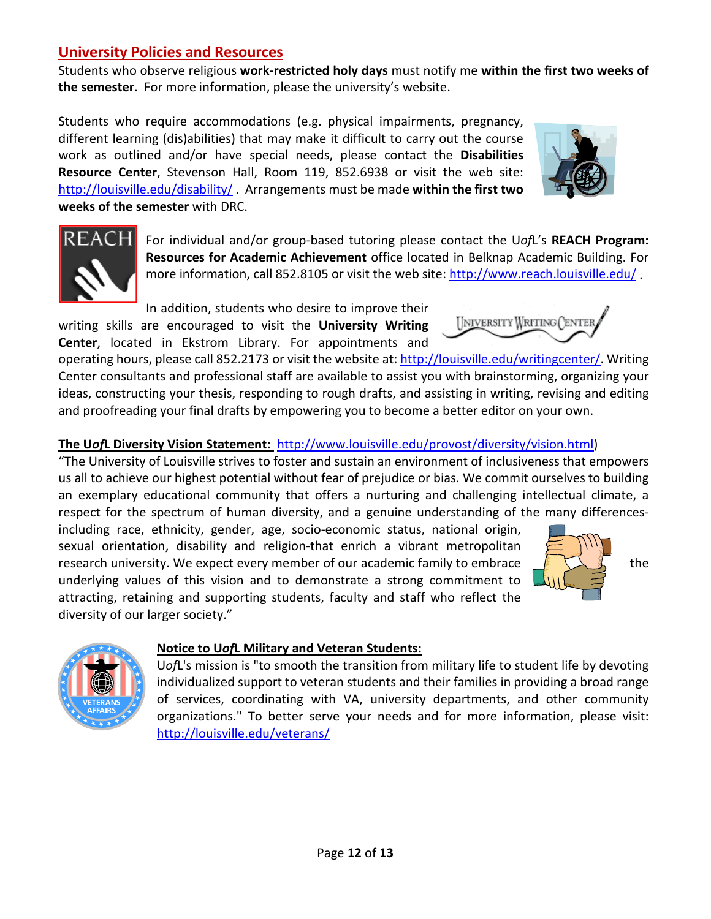## **University Policies and Resources**

Students who observe religious **work-restricted holy days** must notify me **within the first two weeks of the semester**. For more information, please the university's website.

Students who require accommodations (e.g. physical impairments, pregnancy, different learning (dis)abilities) that may make it difficult to carry out the course work as outlined and/or have special needs, please contact the **Disabilities Resource Center**, Stevenson Hall, Room 119, 852.6938 or visit the web site: <http://louisville.edu/disability/> . Arrangements must be made **within the first two weeks of the semester** with DRC.



In addition, students who desire to improve their

writing skills are encouraged to visit the **University Writing Center**, located in Ekstrom Library. For appointments and

operating hours, please call 852.2173 or visit the website at: [http://louisville.edu/writingcenter/.](http://louisville.edu/writingcenter/) Writing Center consultants and professional staff are available to assist you with brainstorming, organizing your ideas, constructing your thesis, responding to rough drafts, and assisting in writing, revising and editing and proofreading your final drafts by empowering you to become a better editor on your own.

## **The U***of***L Diversity Vision Statement:** [http://www.louisville.edu/provost/diversity/vision.html\)](http://www.louisville.edu/provost/diversity/vision.html)

"The University of Louisville strives to foster and sustain an environment of inclusiveness that empowers us all to achieve our highest potential without fear of prejudice or bias. We commit ourselves to building an exemplary educational community that offers a nurturing and challenging intellectual climate, a respect for the spectrum of human diversity, and a genuine understanding of the many differences-

including race, ethnicity, gender, age, socio-economic status, national origin, sexual orientation, disability and religion-that enrich a vibrant metropolitan research university. We expect every member of our academic family to embrace  $\frac{1}{\sqrt{2}}$  the underlying values of this vision and to demonstrate a strong commitment to attracting, retaining and supporting students, faculty and staff who reflect the diversity of our larger society."





## **Notice to U***of***L Military and Veteran Students:**

U*of*L's mission is "to smooth the transition from military life to student life by devoting individualized support to veteran students and their families in providing a broad range of services, coordinating with VA, university departments, and other community organizations." To better serve your needs and for more information, please visit: <http://louisville.edu/veterans/>



INIVERSITY WRITING CENTER